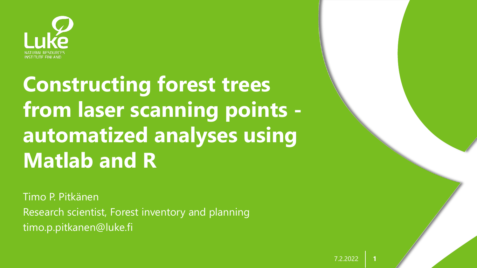

# **Constructing forest trees from laser scanning points automatized analyses using Matlab and R**

Timo P. Pitkänen Research scientist, Forest inventory and planning timo.p.pitkanen@luke.fi

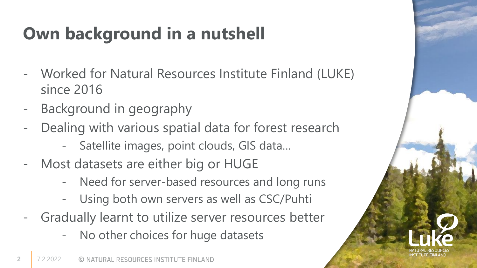# **Own background in a nutshell**

- Worked for Natural Resources Institute Finland (LUKE) since 2016
- Background in geography
- Dealing with various spatial data for forest research
	- Satellite images, point clouds, GIS data…
- Most datasets are either big or HUGE
	- Need for server-based resources and long runs
	- Using both own servers as well as CSC/Puhti
- Gradually learnt to utilize server resources better
	- No other choices for huge datasets

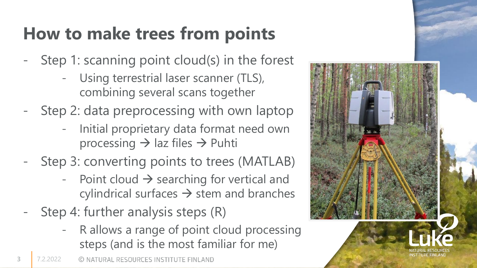## **How to make trees from points**

- Step 1: scanning point cloud(s) in the forest
	- Using terrestrial laser scanner (TLS), combining several scans together
- Step 2: data preprocessing with own laptop
	- Initial proprietary data format need own processing → laz files → Puhti
- Step 3: converting points to trees (MATLAB)
	- Point cloud  $\rightarrow$  searching for vertical and cylindrical surfaces  $\rightarrow$  stem and branches
- Step 4: further analysis steps (R)
	- R allows a range of point cloud processing steps (and is the most familiar for me)

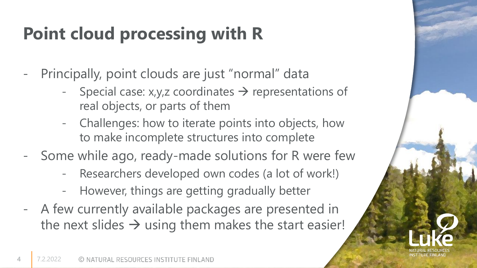# **Point cloud processing with R**

- Principally, point clouds are just "normal" data
	- Special case:  $x,y,z$  coordinates  $\rightarrow$  representations of real objects, or parts of them
	- Challenges: how to iterate points into objects, how to make incomplete structures into complete
- Some while ago, ready-made solutions for R were few
	- Researchers developed own codes (a lot of work!)
	- However, things are getting gradually better
- A few currently available packages are presented in the next slides  $\rightarrow$  using them makes the start easier!

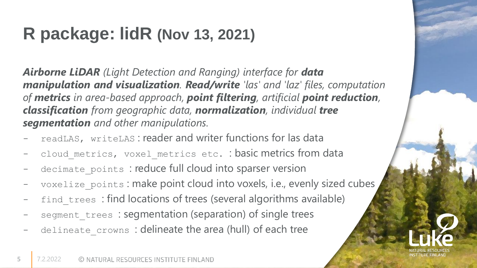#### **R package: lidR (Nov 13, 2021)**

*Airborne LiDAR (Light Detection and Ranging) interface for data manipulation and visualization. Read/write 'las' and 'laz' files, computation of metrics in area-based approach, point filtering, artificial point reduction, classification from geographic data, normalization, individual tree segmentation and other manipulations.*

- readLAS, writeLAS: reader and writer functions for las data
- cloud metrics, voxel metrics etc. : basic metrics from data
- decimate points : reduce full cloud into sparser version
- voxelize points : make point cloud into voxels, i.e., evenly sized cubes
- find trees : find locations of trees (several algorithms available)
- segment trees : segmentation (separation) of single trees
- delineate crowns : delineate the area (hull) of each tree

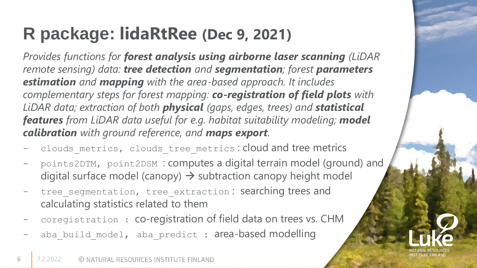#### **R package: lidaRtRee (Dec 9, 2021)**

*Provides functions for forest analysis using airborne laser scanning (LiDAR remote sensing) data: tree detection and segmentation; forest parameters estimation and mapping with the area-based approach. It includes complementary steps for forest mapping: co-registration of field plots with LiDAR data; extraction of both physical (gaps, edges, trees) and statistical features from LiDAR data useful for e.g. habitat suitability modeling; model calibration with ground reference, and maps export.*

- clouds\_metrics, clouds\_tree\_metrics: cloud and tree metrics
- points2DTM, point2DSM : computes a digital terrain model (ground) and digital surface model (canopy)  $\rightarrow$  subtraction canopy height model
- tree segmentation, tree extraction: searching trees and calculating statistics related to them
- coregistration : co-registration of field data on trees vs. CHM
- aba\_build\_model, aba\_predict : area-based modelling

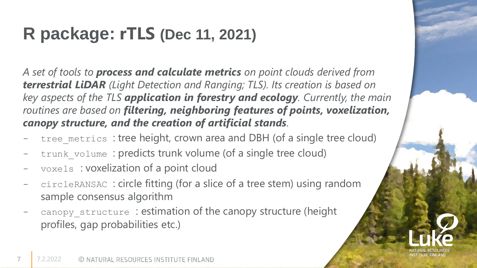#### **R package: rTLS (Dec 11, 2021)**

*A set of tools to process and calculate metrics on point clouds derived from terrestrial LiDAR (Light Detection and Ranging; TLS). Its creation is based on key aspects of the TLS application in forestry and ecology. Currently, the main routines are based on filtering, neighboring features of points, voxelization, canopy structure, and the creation of artificial stands.* 

- tree metrics : tree height, crown area and DBH (of a single tree cloud)
- trunk volume : predicts trunk volume (of a single tree cloud)
- voxels : voxelization of a point cloud
- circleRANSAC : circle fitting (for a slice of a tree stem) using random sample consensus algorithm
- canopy structure: estimation of the canopy structure (height profiles, gap probabilities etc.)



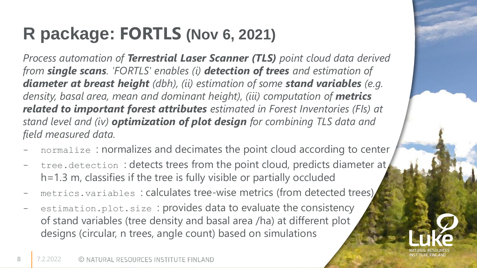## **R package: FORTLS (Nov 6, 2021)**

*Process automation of Terrestrial Laser Scanner (TLS) point cloud data derived from single scans. 'FORTLS' enables (i) detection of trees and estimation of diameter at breast height (dbh), (ii) estimation of some stand variables (e.g.*  density, basal area, mean and dominant height), (iii) computation of **metrics** *related to important forest attributes estimated in Forest Inventories (FIs) at stand level and (iv) optimization of plot design for combining TLS data and field measured data.* 

- normalize : normalizes and decimates the point cloud according to center
- tree.detection: detects trees from the point cloud, predicts diameter at, h=1.3 m, classifies if the tree is fully visible or partially occluded
- metrics.variables: calculates tree-wise metrics (from detected trees)
- estimation.plot.size : provides data to evaluate the consistency of stand variables (tree density and basal area /ha) at different plot designs (circular, n trees, angle count) based on simulations

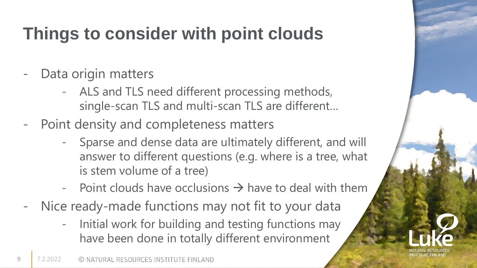## **Things to consider with point clouds**

- Data origin matters
	- ALS and TLS need different processing methods, single-scan TLS and multi-scan TLS are different…
- Point density and completeness matters
	- Sparse and dense data are ultimately different, and will answer to different questions (e.g. where is a tree, what is stem volume of a tree)
	- Point clouds have occlusions  $\rightarrow$  have to deal with them
- Nice ready-made functions may not fit to your data
	- Initial work for building and testing functions may have been done in totally different environment

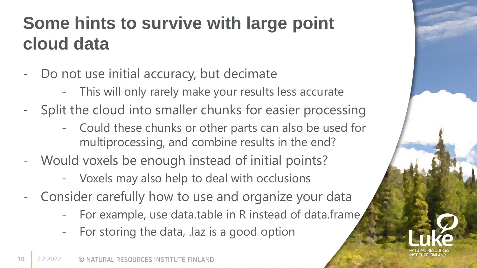### **Some hints to survive with large point cloud data**

- Do not use initial accuracy, but decimate
	- This will only rarely make your results less accurate
- Split the cloud into smaller chunks for easier processing
	- Could these chunks or other parts can also be used for multiprocessing, and combine results in the end?
- Would voxels be enough instead of initial points?
	- Voxels may also help to deal with occlusions
- Consider carefully how to use and organize your data
	- For example, use data.table in R instead of data.frame
	- For storing the data, .laz is a good option